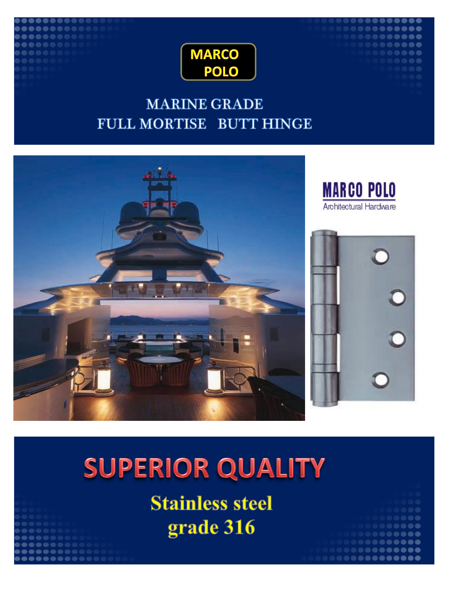

## **MARINE GRADE** FULL MORTISE BUTT HINGE



# **SUPERIOR QUALITY**

**Stainless steel** grade 316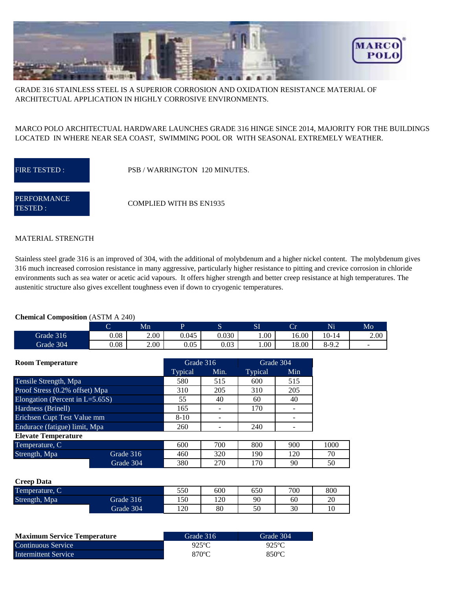

GRADE 316 STAINLESS STEEL IS A SUPERIOR CORROSION AND OXIDATION RESISTANCE MATERIAL OF ARCHITECTUAL APPLICATION IN HIGHLY CORROSIVE ENVIRONMENTS.

### MARCO POLO ARCHITECTUAL HARDWARE LAUNCHES GRADE 316 HINGE SINCE 2014, MAJORITY FOR THE BUILDINGS LOCATED IN WHERE NEAR SEA COAST, SWIMMING POOL OR WITH SEASONAL EXTREMELY WEATHER.

FIRE TESTED : PSB / WARRINGTON 120 MINUTES.

**PERFORMANCE** TESTED :

**Creep**  $\overline{A}$ 

COMPLIED WITH BS EN1935

#### MATERIAL STRENGTH

Stainless steel grade 316 is an improved of 304, with the additional of molybdenum and a higher nickel content. The molybdenum gives 316 much increased corrosion resistance in many aggressive, particularly higher resistance to pitting and crevice corrosion in chloride environments such as sea water or acetic acid vapours. It offers higher strength and better creep resistance at high temperatures. The austenitic structure also gives excellent toughness even if down to cryogenic temperatures.

#### **Chemical Composition** (ASTM A 240)

| -         | ◡    | Mn   |              | ∼     | SI   | $\sim$<br>~ | Ni      | Mo                       |
|-----------|------|------|--------------|-------|------|-------------|---------|--------------------------|
| Grade 316 | 0.08 | 2.00 | 0.045        | 0.030 | 00.1 | 16.00       | 10-14   | 2.00                     |
| Grade 304 | 0.08 | 2.00 | ሰ ሰሩ<br>u.uj | 0.03  | 0.00 | 18.00       | $8-9.2$ | $\overline{\phantom{a}}$ |

| <b>Room Temperature</b>            |           |          | Grade 316 | Grade 304 |     |      |
|------------------------------------|-----------|----------|-----------|-----------|-----|------|
|                                    |           | Typical  | Min.      | Typical   | Min |      |
| Tensile Strength, Mpa              |           | 580      | 515       | 600       | 515 |      |
| Proof Stress (0.2% offset) Mpa     |           | 310      | 205       | 310       | 205 |      |
| Elongation (Percent in $L=5.65S$ ) |           | 55       | 40        | 60        | 40  |      |
| Hardness (Brinell)                 |           | 165      |           | 170       |     |      |
| Erichsen Cupt Test Value mm        |           | $8 - 10$ |           |           |     |      |
| Endurace (fatigue) limit, Mpa      |           | 260      |           | 240       |     |      |
| <b>Elevate Temperature</b>         |           |          |           |           |     |      |
| Temperature, C                     |           | 600      | 700       | 800       | 900 | 1000 |
| Strength, Mpa                      | Grade 316 | 460      | 320       | 190       | 120 | 70   |
|                                    | Grade 304 | 380      | 270       | 170       | 90  | 50   |
|                                    |           |          |           |           |     |      |

| Ureed Data     |           |     |     |     |     |     |
|----------------|-----------|-----|-----|-----|-----|-----|
| Temperature, C |           | 550 | 600 | 650 | 700 | 800 |
| Strength, Mpa  | Grade 316 | 150 | 120 | 90  | 60  | 20  |
|                | Grade 304 | 120 | 80  | 50  | 30  | 10  |

| <b>Maximum Service Temperature</b> | Grade 316       | Grade 304 |
|------------------------------------|-----------------|-----------|
| Continuous Service                 | $925$ °C        | $925$ °C  |
| Intermittent Service               | $870^{\circ}$ C | 850°C     |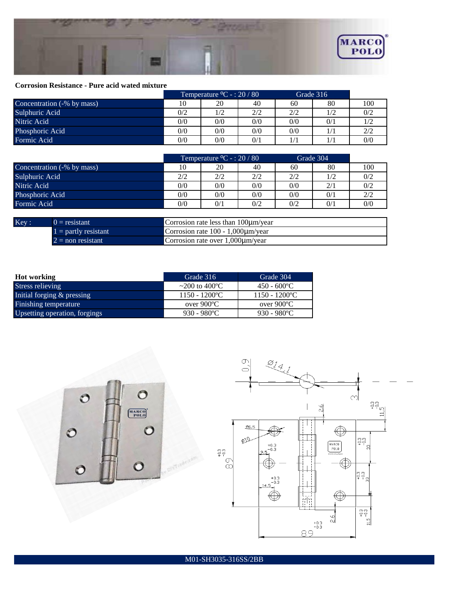

#### **Corrosion Resistance - Pure acid wated mixture**

|                            | Temperature ${}^{\circ}C$ - : 20 / 80 |     | Grade 316 |     |     |     |
|----------------------------|---------------------------------------|-----|-----------|-----|-----|-----|
| Concentration (-% by mass) | 10                                    | 20  | 40        | 60  | 80  | 100 |
| Sulphuric Acid             | 0/2                                   |     | 2/2       | 2/2 | 1/2 | 0/2 |
| Nitric Acid                | 0/0                                   | 0/0 | 0/0       | 0/0 | 0/1 |     |
| Phosphoric Acid            | 0/0                                   | 0/0 | 0/0       | 0/0 | 1/1 | 2/2 |
| Formic Acid                | 0/0                                   | 0/0 | 0/1       | 1/1 | 1/1 | 0/0 |

|                                           | Temperature ${}^0C - 20 / 80$ |     | Grade 304 |     |     |     |
|-------------------------------------------|-------------------------------|-----|-----------|-----|-----|-----|
| Concentration $\overline{(-\%)}$ by mass) | 10                            | 20  | 40        | 60  | 80  | 100 |
| Sulphuric Acid                            | 2/2                           | 2/2 | 2/2       | 2/2 | 1/2 | 0/2 |
| Nitric Acid                               | 0/0                           | 0/0 | 0/0       | 0/0 | 2/1 | 0/2 |
| Phosphoric Acid                           | 0/0                           | 0/0 | 0/0       | 0/0 | 0/1 | 2/2 |
| Formic Acid                               | 0/0                           | 0/1 | 0/2       | 0/2 | 0/1 | 0/0 |
|                                           |                               |     |           |     |     |     |

| Kev: | $0 =$ resistant        | Corrosion rate less than $100 \mu m/year$ |
|------|------------------------|-------------------------------------------|
|      | $1 =$ partly resistant | Corrosion rate $100 - 1,000$ um/year      |
|      | $2 =$ non resistant    | Corrosion rate over 1.000um/year          |

| Hot working                   | Grade 316                    | Grade 304                    |
|-------------------------------|------------------------------|------------------------------|
| Stress relieving              | ~200 to 400 °C               | $450 - 600$ °C               |
| Initial forging & pressing    | $1150 - 1200$ <sup>o</sup> C | $1150 - 1200$ <sup>o</sup> C |
| Finishing temperature         | over 900°C                   | over 900°C                   |
| Upsetting operation, forgings | $930 - 980^{\circ}C$         | $930 - 980^{\circ}$ C        |